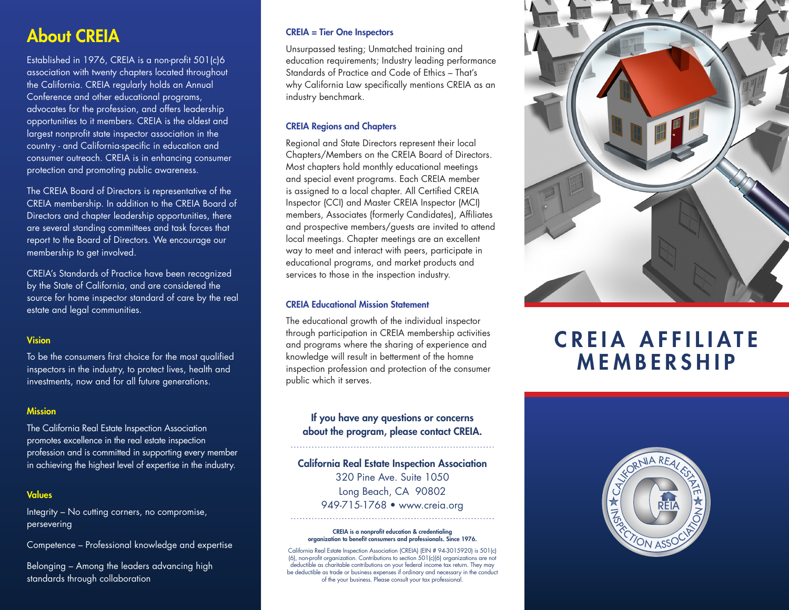## About CREIA

Established in 1976, CREIA is a non-profit 501(c)6 association with twenty chapters located throughout the California. CREIA regularly holds an Annual Conference and other educational programs, advocates for the profession, and offers leadership opportunities to it members. CREIA is the oldest and largest nonprofit state inspector association in the country - and California-specific in education and consumer outreach. CREIA is in enhancing consumer protection and promoting public awareness.

The CREIA Board of Directors is representative of the CREIA membership. In addition to the CREIA Board of Directors and chapter leadership opportunities, there are several standing committees and task forces that report to the Board of Directors. We encourage our membership to get involved.

CREIA's Standards of Practice have been recognized by the State of California, and are considered the source for home inspector standard of care by the real estate and legal communities.

#### Vision

To be the consumers first choice for the most qualified inspectors in the industry, to protect lives, health and investments, now and for all future generations.

#### **Mission**

The California Real Estate Inspection Association promotes excellence in the real estate inspection profession and is committed in supporting every member in achieving the highest level of expertise in the industry.

#### **Values**

Integrity – No cutting corners, no compromise, persevering

Competence – Professional knowledge and expertise

Belonging – Among the leaders advancing high standards through collaboration

#### CREIA = Tier One Inspectors

Unsurpassed testing; Unmatched training and education requirements; Industry leading performance Standards of Practice and Code of Ethics – That's why California Law specifically mentions CREIA as an industry benchmark.

#### CREIA Regions and Chapters

Regional and State Directors represent their local Chapters/Members on the CREIA Board of Directors. Most chapters hold monthly educational meetings and special event programs. Each CREIA member is assigned to a local chapter. All Certified CREIA Inspector (CCI) and Master CREIA Inspector (MCI) members, Associates (formerly Candidates), Affiliates and prospective members/guests are invited to attend local meetings. Chapter meetings are an excellent way to meet and interact with peers, participate in educational programs, and market products and services to those in the inspection industry.

#### CREIA Educational Mission Statement

The educational growth of the individual inspector through participation in CREIA membership activities and programs where the sharing of experience and knowledge will result in betterment of the homne inspection profession and protection of the consumer public which it serves.

#### If you have any questions or concerns about the program, please contact CREIA.

California Real Estate Inspection Association 320 Pine Ave. Suite 1050 Long Beach, CA 90802 949-715-1768 • www.creia.org

#### CREIA is a nonprofit education & credentialing organization to benefit consumers and professionals. Since 1976.

California Real Estate Inspection Association (CREIA) (EIN # 94-3015920) is 501(c) (6), non-profit organization. Contributions to section 501(c)(6) organizations are not deductible as charitable contributions on your federal income tax return. They may be deductible as trade or business expenses if ordinary and necessary in the conduct of the your business. Please consult your tax professional.



## **CREIA AFFILIATE MEMBERSHIP**